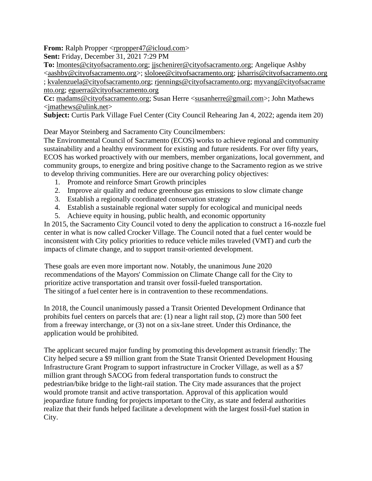**From:** Ralph Propper [<rpropper47@icloud.com>](mailto:rpropper47@icloud.com)

**Sent:** Friday, December 31, 2021 7:29 PM

**To:** [lmontes@cityofsacramento.org;](mailto:lmontes@cityofsacramento.org) [jjschenirer@cityofsacramento.org;](mailto:jjschenirer@cityofsacramento.org) Angelique Ashby [<aashby@cityofsacramento.org>](mailto:aashby@cityofsacramento.org); [sloloee@cityofsacramento.org;](mailto:sloloee@cityofsacramento.org) [jsharris@cityofsacramento.org](mailto:jsharris@cityofsacramento.org) ; [kvalenzuela@cityofsacramento.org;](mailto:kvalenzuela@cityofsacramento.org) [rjennings@cityofsacramento.org;](mailto:rjennings@cityofsacramento.org) [myvang@cityofsacrame](mailto:myvang@cityofsacramento.org) [nto.org;](mailto:myvang@cityofsacramento.org) [eguerra@cityofsacramento.org](mailto:eguerra@cityofsacramento.org)

**Cc:** [madams@cityofsacramento.org;](mailto:madams@cityofsacramento.org) Susan Herre [<susanherre@gmail.com>](mailto:susanherre@gmail.com); John Mathews [<jmathews@ulink.net>](mailto:jmathews@ulink.net)

**Subject:** Curtis Park Village Fuel Center (City Council Rehearing Jan 4, 2022; agenda item 20)

Dear Mayor Steinberg and Sacramento City Councilmembers:

The Environmental Council of Sacramento (ECOS) works to achieve regional and community sustainability and a healthy environment for existing and future residents. For over fifty years, ECOS has worked proactively with our members, member organizations, local government, and community groups, to energize and bring positive change to the Sacramento region as we strive to develop thriving communities. Here are our overarching policy objectives:

- 1. Promote and reinforce Smart Growth principles
- 2. Improve air quality and reduce greenhouse gas emissions to slow climate change
- 3. Establish a regionally coordinated conservation strategy
- 4. Establish a sustainable regional water supply for ecological and municipal needs
- 5. Achieve equity in housing, public health, and economic opportunity

In 2015, the Sacramento City Council voted to deny the application to construct a 16-nozzle fuel center in what is now called Crocker Village. The Council noted that a fuel center would be inconsistent with City policy priorities to reduce vehicle miles traveled (VMT) and curb the impacts of climate change, and to support transit-oriented development.

These goals are even more important now. Notably, the unanimous June 2020 recommendations of the Mayors' Commission on Climate Change call for the City to prioritize active transportation and transit over fossil-fueled transportation. The sitingof a fuel center here is in contravention to these recommendations.

In 2018, the Council unanimously passed a Transit Oriented Development Ordinance that prohibits fuel centers on parcels that are: (1) near a light rail stop, (2) more than 500 feet from a freeway interchange, or (3) not on a six-lane street. Under this Ordinance, the application would be prohibited.

The applicant secured major funding by promoting this development astransit friendly: The City helped secure a \$9 million grant from the State Transit Oriented Development Housing Infrastructure Grant Program to support infrastructure in Crocker Village, as well as a \$7 million grant through SACOG from federal transportation funds to construct the pedestrian/bike bridge to the light-rail station. The City made assurances that the project would promote transit and active transportation. Approval of this application would jeopardize future funding for projects important to theCity, as state and federal authorities realize that their funds helped facilitate a development with the largest fossil-fuel station in City.